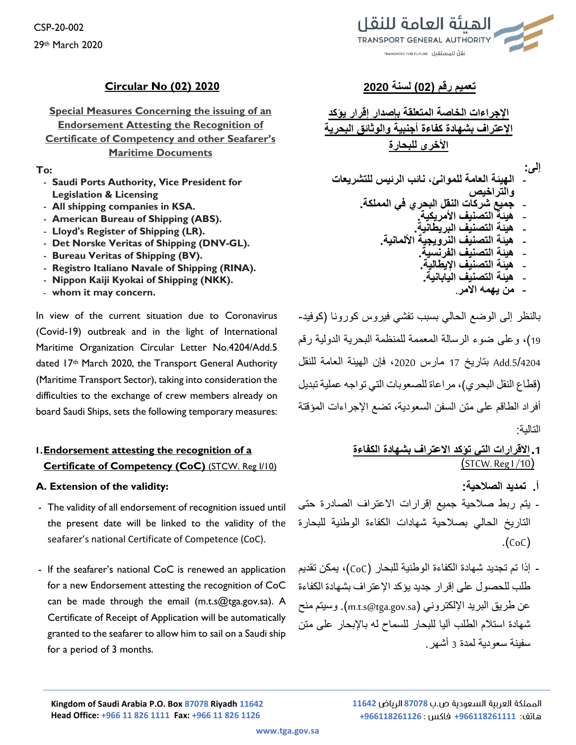## **تعميم رقم )02( لسنة 2020 2020 (02) No Circular**

**Special Measures Concerning the issuing of an Endorsement Attesting the Recognition of Certificate of Competency and other Seafarer's Maritime Documents**

#### **To:**

- **Saudi Ports Authority, Vice President for Legislation & Licensing**
- **All shipping companies in KSA.**
- **American Bureau of Shipping (ABS).**
- **Lloyd's Register of Shipping (LR).**
- **Det Norske Veritas of Shipping (DNV-GL).**
- **Bureau Veritas of Shipping (BV).**
- **Registro Italiano Navale of Shipping (RINA).**
- **Nippon Kaiji Kyokai of Shipping (NKK).**
- **whom it may concern.**

In view of the current situation due to Coronavirus (Covid-19) outbreak and in the light of International Maritime Organization Circular Letter No.4204/Add.5 dated 17th March 2020, the Transport General Authority (Maritime Transport Sector), taking into consideration the difficulties to the exchange of crew members already on board Saudi Ships, sets the following temporary measures:

# **1.Endorsement attesting the recognition of a Certificate of Competency (CoC)** (STCW. Reg I/10)

### **A. Extension of the validity:**

- The validity of all endorsement of recognition issued until the present date will be linked to the validity of the seafarer's national Certificate of Competence (CoC).
- If the seafarer's national CoC is renewed an application for a new Endorsement attesting the recognition of CoC can be made through the email (m.t.s@tga.gov.sa). A Certificate of Receipt of Application will be automatically granted to the seafarer to allow him to sail on a Saudi ship for a period of 3 months.



**اإلجراءات الخاصة المتعلقة بإصدار إقرار يؤكد اإلعتراف بشهادة كفاءة أجنبية والوثائق البحرية األخرى للبحارة**

**إلى:**

- **الهيئة العامة للموانئ، نائب الرئيس للتشريعات والتراخيص** - **جميع شركات النقل البحري في المملكة.** - **هيئة التصنيف األمريكية.** - **هيئة التصنيف البريطانية.** - **هيئة التصنيف النرويجية األلمانية.** - **هيئة التصنيف الفرنسية.** - **هيئة التصنيف اإليطالية.**
	- **هيئة التصنيف اليابانية.**
		- **من يهمه االمر.**

بالنظر إلى الوضع الحالي بسبب تفشي فيروس كورونا )كوفيد- 19(، وعلى ضوء الرسالة المعممة للمنظمة البحرية الدولية رقم .5/4204Add بتاريخ 17 مارس ،2020 فإن الهيئة العامة للنقل )قطاع النقل البحري(، مراعاة للصعوبات التي تواجه عملية تبديل أفراد الطاقم على متن السفن السعودية، تضع اإلجراءات المؤقتة التالية:

# **.1االقرارات التي تؤكد االعتراف بشهادة الكفاءة**   $\left(\frac{\text{STCW.} \text{Reg }1}{10}\right)$

- **أ. تمديد الصالحية:**
- يتم ربط صالحية جميع إقرارات االعتراف الصادرة حتى التاريخ الحالي بصالحية شهادات الكفاءة الوطنية للبحارة  $(CoC)$
- إذا تم تجديد شهادة الكفاءة الوطنية للبحار )CoC)، يمكن تقديم طلب للحصول على إقرار جديد يؤكد اإلعتراف بشهادة الكفاءة عن طريق البريد الإلكتروني (m.t.s@tga.gov.sa). وسيتم منح شهادة استالم الطلب آليا للبحار للسماح له باإلبحار على متن سفينة سعودية لمدة 3 أشهر.